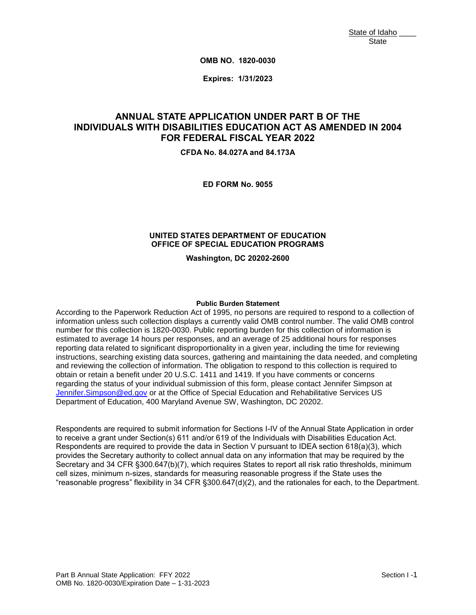**OMB NO. 1820-0030**

**Expires: 1/31/2023**

# **INDIVIDUALS WITH DISABILITIES EDUCATION ACT AS AMENDED IN 2004 ION ACT<br>YEAR 20<br>84.173A ANNUAL STATE APPLICATION UNDER PART B OF THE FOR FEDERAL FISCAL YEAR 2022**

**CFDA No. 84.027A and 84.173A**

**ED FORM No. 9055**

#### **UNITED STATES DEPARTMENT OF EDUCATION OFFICE OF SPECIAL EDUCATION PROGRAMS**

**Washington, DC 20202-2600**

#### **Public Burden Statement**

 information unless such collection displays a currently valid OMB control number. The valid OMB control number for this collection is 1820-0030. Public reporting burden for this collection of information is estimated to average 14 hours per responses, and an average of 25 additional hours for responses reporting data related to significant disproportionality in a given year, including the time for reviewing and reviewing the collection of information. The obligation to respond to this collection is required to According to the Paperwork Reduction Act of 1995, no persons are required to respond to a collection of instructions, searching existing data sources, gathering and maintaining the data needed, and completing obtain or retain a benefit under 20 U.S.C. 1411 and 1419. If you have comments or concerns regarding the status of your individual submission of this form, please contact Jennifer Simpson at Jennifer. Simpson@ed.gov or at the Office of Special Education and Rehabilitative Services US Department of Education, 400 Maryland Avenue SW, Washington, DC 20202.

 Respondents are required to submit information for Sections I-IV of the Annual State Application in order Jennifer.Simpson@ed.gov or at the Office of Special Education and Rehabilitative Services US<br>Department of Education, 400 Maryland Avenue SW, Washington, DC 20202.<br>Respondents are required to submit information for Section to receive a grant under Section(s) 611 and/or 619 of the Individuals with Disabilities Education Act. Respondents are required to provide the data in Section V pursuant to IDEA section 618(a)(3), which Secretary and 34 CFR §300.647(b)(7), which requires States to report all risk ratio thresholds, minimum cell sizes, minimum n-sizes, standards for measuring reasonable progress if the State uses the "reasonable progress" flexibility in 34 CFR §300.647(d)(2), and the rationales for each, to the Department.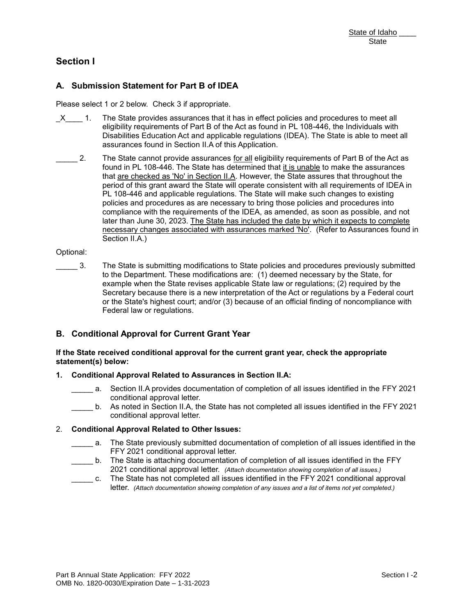# **Section I**

## **A. Submission Statement for Part B of IDEA**

**bmission**<br>select 1 or 2<br>1. The S Please select 1 or 2 below. Check 3 if appropriate.

- Disabilities Education Act and applicable regulations (IDEA). The State is able to meet all  $X = 1$ . The State provides assurances that it has in effect policies and procedures to meet all eligibility requirements of Part B of the Act as found in PL 108-446, the Individuals with assurances found in Section II.A of this Application.
- J period of this grant award the State will operate consistent with all requirements of IDEA in Act and applicable regulations (IDEA). The State is able to m<br>Section II.A of this Application.<br>vide assurances <u>for all</u> eligibility requirements of Part B of the<br>The State has determined that i<u>t is unable</u> to make the a State of Idaho Catalon<br>
State of Idaho Catalon<br>
State State State State<br>
CK 3 if appropriate.<br>
As assurances that it has in effect policies and procedures to meet all<br>
then 6 Pant B of the Act as found in P. 108-446, the 2. The State cannot provide assurances <u>for all</u> eligibility requirements of Part B of the Act as found in PL 108-446. The State has determined that it is unable to make the assurances that are checked as 'No' in Section II.A. However, the State assures that throughout the PL 108-446 and applicable regulations. The State will make such changes to existing policies and procedures as are necessary to bring those policies and procedures into compliance with the requirements of the IDEA, as amended, as soon as possible, and not later than June 30, 2023. The State has included the date by which it expects to complete necessary changes associated with assurances marked 'No'. (Refer to Assurances found in Section II.A.)

#### Optional:

 to the Department. These modifications are: (1) deemed necessary by the State, for example when the State revises applicable State law or regulations; (2) required by the te revises applicable State<br>re is a new interpretation of<br>court; and/or (3) because of<br>ons.<br>**urrent Grant Year<br>pproval for the current gr<br>to Assurances in Section**<br>of documentation of complet<br>letter. \_\_\_\_\_ 3. The State is submitting modifications to State policies and procedures previously submitted Secretary because there is a new interpretation of the Act or regulations by a Federal court or the State's highest court; and/or (3) because of an official finding of noncompliance with Federal law or regulations.

### **B. Conditional Approval for Current Grant Year**

#### **If the State received conditional approval for the current grant year, check the appropriate statement(s) below:**

#### **1. Conditional Approval Related to Assurances in Section II.A:**

- a. Section II.A provides documentation of completion of all issues identified in the FFY 2021 conditional approval letter.
- b. As noted in Section II.A, the State has not completed all issues identified in the FFY 2021 conditional approval letter.

#### 2. **Conditional Approval Related to Other Issues:**

- \_\_\_\_\_ a. The State previously submitted documentation of completion of all issues identified in the FFY 2021 conditional approval letter.
- 2021 conditional approval letter. *(Attach documentation showing completion of all issues.)* \_\_\_\_\_ b. The State is attaching documentation of completion of all issues identified in the FFY
- \_\_\_\_\_ c. The State has not completed all issues identified in the FFY 2021 conditional approval  letter. *(Attach documentation showing completion of any issues and a list of items not yet completed.)*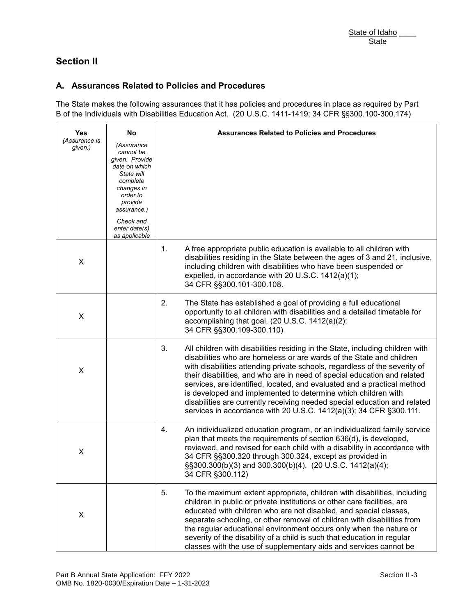# **Section II**

# **A. Assurances Related to Policies and Procedures**

|                          |                                                                                                                                          |    | State of Idaho                                                                                                                                                                                                                                                                                                                                                                                                                                                                                                                                                                                                 |
|--------------------------|------------------------------------------------------------------------------------------------------------------------------------------|----|----------------------------------------------------------------------------------------------------------------------------------------------------------------------------------------------------------------------------------------------------------------------------------------------------------------------------------------------------------------------------------------------------------------------------------------------------------------------------------------------------------------------------------------------------------------------------------------------------------------|
|                          |                                                                                                                                          |    | <b>State</b>                                                                                                                                                                                                                                                                                                                                                                                                                                                                                                                                                                                                   |
| <b>Section II</b>        |                                                                                                                                          |    |                                                                                                                                                                                                                                                                                                                                                                                                                                                                                                                                                                                                                |
|                          |                                                                                                                                          |    |                                                                                                                                                                                                                                                                                                                                                                                                                                                                                                                                                                                                                |
|                          |                                                                                                                                          |    | A. Assurances Related to Policies and Procedures                                                                                                                                                                                                                                                                                                                                                                                                                                                                                                                                                               |
|                          |                                                                                                                                          |    | The State makes the following assurances that it has policies and procedures in place as required by Part<br>B of the Individuals with Disabilities Education Act. (20 U.S.C. 1411-1419; 34 CFR §§300.100-300.174)                                                                                                                                                                                                                                                                                                                                                                                             |
| <b>Yes</b>               | No                                                                                                                                       |    | <b>Assurances Related to Policies and Procedures</b>                                                                                                                                                                                                                                                                                                                                                                                                                                                                                                                                                           |
| (Assurance is<br>given.) | (Assurance<br>cannot be<br>given. Provide<br>date on which<br>State will<br>complete<br>changes in<br>order to<br>provide<br>assurance.) |    |                                                                                                                                                                                                                                                                                                                                                                                                                                                                                                                                                                                                                |
|                          | Check and<br>enter date(s)<br>as applicable                                                                                              |    |                                                                                                                                                                                                                                                                                                                                                                                                                                                                                                                                                                                                                |
| X                        |                                                                                                                                          | 1. | A free appropriate public education is available to all children with<br>disabilities residing in the State between the ages of 3 and 21, inclusive,<br>including children with disabilities who have been suspended or<br>expelled, in accordance with 20 U.S.C. 1412(a)(1);<br>34 CFR §§300.101-300.108.                                                                                                                                                                                                                                                                                                     |
| X                        |                                                                                                                                          | 2. | The State has established a goal of providing a full educational<br>opportunity to all children with disabilities and a detailed timetable for<br>accomplishing that goal. (20 U.S.C. 1412(a)(2);<br>34 CFR §§300.109-300.110)                                                                                                                                                                                                                                                                                                                                                                                 |
| X                        |                                                                                                                                          | 3. | All children with disabilities residing in the State, including children with<br>disabilities who are homeless or are wards of the State and children<br>with disabilities attending private schools, regardless of the severity of<br>their disabilities, and who are in need of special education and related<br>services, are identified, located, and evaluated and a practical method<br>is developed and implemented to determine which children with<br>disabilities are currently receiving needed special education and related<br>services in accordance with 20 U.S.C. 1412(a)(3); 34 CFR §300.111. |
| X                        |                                                                                                                                          | 4. | An individualized education program, or an individualized family service<br>plan that meets the requirements of section 636(d), is developed,<br>reviewed, and revised for each child with a disability in accordance with<br>34 CFR §§300.320 through 300.324, except as provided in<br>§§300.300(b)(3) and 300.300(b)(4). (20 U.S.C. 1412(a)(4);<br>34 CFR §300.112)                                                                                                                                                                                                                                         |
| X                        |                                                                                                                                          | 5. | To the maximum extent appropriate, children with disabilities, including<br>children in public or private institutions or other care facilities, are<br>educated with children who are not disabled, and special classes,<br>separate schooling, or other removal of children with disabilities from<br>the regular educational environment occurs only when the nature or<br>severity of the disability of a child is such that education in regular<br>classes with the use of supplementary aids and services cannot be                                                                                     |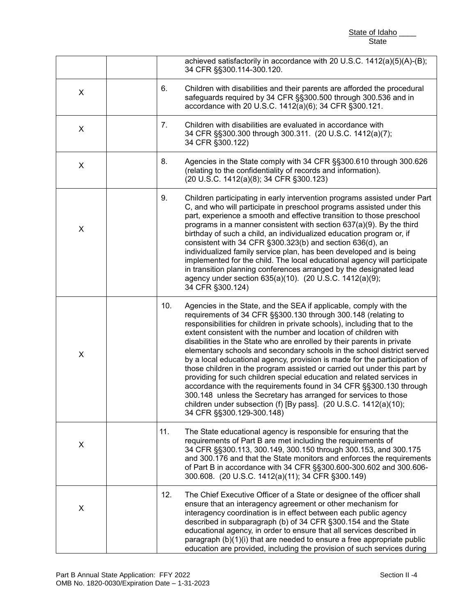State of Idaho State

|   |     | achieved satisfactorily in accordance with 20 U.S.C. 1412(a)(5)(A)-(B);<br>34 CFR §§300.114-300.120.                                                                                                                                                                                                                                                                                                                                                                                                                                                                                                                                                                                                                                                                                                                                                                                                              |
|---|-----|-------------------------------------------------------------------------------------------------------------------------------------------------------------------------------------------------------------------------------------------------------------------------------------------------------------------------------------------------------------------------------------------------------------------------------------------------------------------------------------------------------------------------------------------------------------------------------------------------------------------------------------------------------------------------------------------------------------------------------------------------------------------------------------------------------------------------------------------------------------------------------------------------------------------|
| X | 6.  | Children with disabilities and their parents are afforded the procedural<br>safeguards required by 34 CFR §§300.500 through 300.536 and in<br>accordance with 20 U.S.C. 1412(a)(6); 34 CFR §300.121.                                                                                                                                                                                                                                                                                                                                                                                                                                                                                                                                                                                                                                                                                                              |
| X | 7.  | Children with disabilities are evaluated in accordance with<br>34 CFR §§300.300 through 300.311. (20 U.S.C. 1412(a)(7);<br>34 CFR §300.122)                                                                                                                                                                                                                                                                                                                                                                                                                                                                                                                                                                                                                                                                                                                                                                       |
| X | 8.  | Agencies in the State comply with 34 CFR §§300.610 through 300.626<br>(relating to the confidentiality of records and information).<br>(20 U.S.C. 1412(a)(8); 34 CFR §300.123)                                                                                                                                                                                                                                                                                                                                                                                                                                                                                                                                                                                                                                                                                                                                    |
| X | 9.  | Children participating in early intervention programs assisted under Part<br>C, and who will participate in preschool programs assisted under this<br>part, experience a smooth and effective transition to those preschool<br>programs in a manner consistent with section 637(a)(9). By the third<br>birthday of such a child, an individualized education program or, if<br>consistent with 34 CFR §300.323(b) and section 636(d), an<br>individualized family service plan, has been developed and is being<br>implemented for the child. The local educational agency will participate<br>in transition planning conferences arranged by the designated lead<br>agency under section 635(a)(10). (20 U.S.C. 1412(a)(9);<br>34 CFR §300.124)                                                                                                                                                                  |
| X | 10. | Agencies in the State, and the SEA if applicable, comply with the<br>requirements of 34 CFR §§300.130 through 300.148 (relating to<br>responsibilities for children in private schools), including that to the<br>extent consistent with the number and location of children with<br>disabilities in the State who are enrolled by their parents in private<br>elementary schools and secondary schools in the school district served<br>by a local educational agency, provision is made for the participation of<br>those children in the program assisted or carried out under this part by<br>providing for such children special education and related services in<br>accordance with the requirements found in 34 CFR §§300.130 through<br>300.148 unless the Secretary has arranged for services to those<br>children under subsection (f) [By pass]. (20 U.S.C. 1412(a)(10);<br>34 CFR §§300.129-300.148) |
| X | 11. | The State educational agency is responsible for ensuring that the<br>requirements of Part B are met including the requirements of<br>34 CFR §§300.113, 300.149, 300.150 through 300.153, and 300.175<br>and 300.176 and that the State monitors and enforces the requirements<br>of Part B in accordance with 34 CFR §§300.600-300.602 and 300.606-<br>300.608. (20 U.S.C. 1412(a)(11); 34 CFR §300.149)                                                                                                                                                                                                                                                                                                                                                                                                                                                                                                          |
| X | 12. | The Chief Executive Officer of a State or designee of the officer shall<br>ensure that an interagency agreement or other mechanism for<br>interagency coordination is in effect between each public agency<br>described in subparagraph (b) of 34 CFR §300.154 and the State<br>educational agency, in order to ensure that all services described in<br>paragraph (b)(1)(i) that are needed to ensure a free appropriate public<br>education are provided, including the provision of such services during                                                                                                                                                                                                                                                                                                                                                                                                       |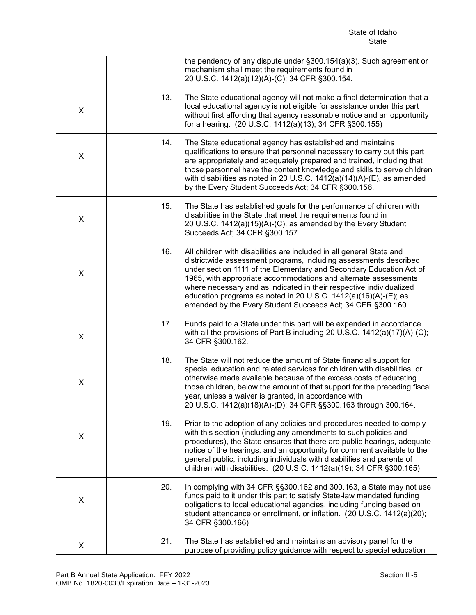|   |     | State of Idaho<br><b>State</b>                                                                                                                                                                                                                                                                                                                                                                                                                                                                  |
|---|-----|-------------------------------------------------------------------------------------------------------------------------------------------------------------------------------------------------------------------------------------------------------------------------------------------------------------------------------------------------------------------------------------------------------------------------------------------------------------------------------------------------|
|   |     | the pendency of any dispute under §300.154(a)(3). Such agreement or<br>mechanism shall meet the requirements found in<br>20 U.S.C. 1412(a)(12)(A)-(C); 34 CFR §300.154.                                                                                                                                                                                                                                                                                                                         |
| X | 13. | The State educational agency will not make a final determination that a<br>local educational agency is not eligible for assistance under this part<br>without first affording that agency reasonable notice and an opportunity<br>for a hearing. (20 U.S.C. 1412(a)(13); 34 CFR §300.155)                                                                                                                                                                                                       |
| X | 14. | The State educational agency has established and maintains<br>qualifications to ensure that personnel necessary to carry out this part<br>are appropriately and adequately prepared and trained, including that<br>those personnel have the content knowledge and skills to serve children<br>with disabilities as noted in 20 U.S.C. 1412(a)(14)(A)-(E), as amended<br>by the Every Student Succeeds Act; 34 CFR §300.156.                                                                     |
| X | 15. | The State has established goals for the performance of children with<br>disabilities in the State that meet the requirements found in<br>20 U.S.C. 1412(a)(15)(A)-(C), as amended by the Every Student<br>Succeeds Act; 34 CFR §300.157.                                                                                                                                                                                                                                                        |
| X | 16. | All children with disabilities are included in all general State and<br>districtwide assessment programs, including assessments described<br>under section 1111 of the Elementary and Secondary Education Act of<br>1965, with appropriate accommodations and alternate assessments<br>where necessary and as indicated in their respective individualized<br>education programs as noted in 20 U.S.C. $1412(a)(16)(A)-(E)$ ; as<br>amended by the Every Student Succeeds Act; 34 CFR §300.160. |
| X | 17. | Funds paid to a State under this part will be expended in accordance<br>with all the provisions of Part B including 20 U.S.C. 1412(a)(17)(A)-(C);<br>34 CFR §300.162.                                                                                                                                                                                                                                                                                                                           |
| X | 18. | The State will not reduce the amount of State financial support for<br>special education and related services for children with disabilities, or<br>otherwise made available because of the excess costs of educating<br>those children, below the amount of that support for the preceding fiscal<br>year, unless a waiver is granted, in accordance with<br>20 U.S.C. 1412(a)(18)(A)-(D); 34 CFR §§300.163 through 300.164.                                                                   |
| X | 19. | Prior to the adoption of any policies and procedures needed to comply<br>with this section (including any amendments to such policies and<br>procedures), the State ensures that there are public hearings, adequate<br>notice of the hearings, and an opportunity for comment available to the<br>general public, including individuals with disabilities and parents of<br>children with disabilities. (20 U.S.C. 1412(a)(19); 34 CFR §300.165)                                               |
| X | 20. | In complying with 34 CFR §§300.162 and 300.163, a State may not use<br>funds paid to it under this part to satisfy State-law mandated funding<br>obligations to local educational agencies, including funding based on<br>student attendance or enrollment, or inflation. (20 U.S.C. 1412(a)(20);<br>34 CFR §300.166)                                                                                                                                                                           |
| X | 21. | The State has established and maintains an advisory panel for the<br>purpose of providing policy guidance with respect to special education                                                                                                                                                                                                                                                                                                                                                     |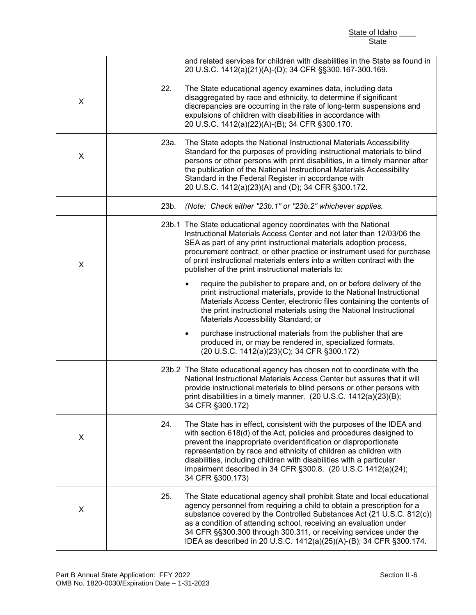|   |      | State of Idaho                                                                                                                                                                                                                                                                                                                                                                                                                                     |
|---|------|----------------------------------------------------------------------------------------------------------------------------------------------------------------------------------------------------------------------------------------------------------------------------------------------------------------------------------------------------------------------------------------------------------------------------------------------------|
|   |      | <b>State</b>                                                                                                                                                                                                                                                                                                                                                                                                                                       |
|   |      | and related services for children with disabilities in the State as found in<br>20 U.S.C. 1412(a)(21)(A)-(D); 34 CFR §§300.167-300.169.                                                                                                                                                                                                                                                                                                            |
| X | 22.  | The State educational agency examines data, including data<br>disaggregated by race and ethnicity, to determine if significant<br>discrepancies are occurring in the rate of long-term suspensions and<br>expulsions of children with disabilities in accordance with<br>20 U.S.C. 1412(a)(22)(A)-(B); 34 CFR §300.170.                                                                                                                            |
| X | 23a. | The State adopts the National Instructional Materials Accessibility<br>Standard for the purposes of providing instructional materials to blind<br>persons or other persons with print disabilities, in a timely manner after<br>the publication of the National Instructional Materials Accessibility<br>Standard in the Federal Register in accordance with<br>20 U.S.C. 1412(a)(23)(A) and (D); 34 CFR §300.172.                                 |
|   | 23b. | (Note: Check either "23b.1" or "23b.2" whichever applies.                                                                                                                                                                                                                                                                                                                                                                                          |
| X |      | 23b.1 The State educational agency coordinates with the National<br>Instructional Materials Access Center and not later than 12/03/06 the<br>SEA as part of any print instructional materials adoption process,<br>procurement contract, or other practice or instrument used for purchase<br>of print instructional materials enters into a written contract with the<br>publisher of the print instructional materials to:                       |
|   |      | require the publisher to prepare and, on or before delivery of the<br>print instructional materials, provide to the National Instructional<br>Materials Access Center, electronic files containing the contents of<br>the print instructional materials using the National Instructional<br>Materials Accessibility Standard; or                                                                                                                   |
|   |      | purchase instructional materials from the publisher that are<br>٠<br>produced in, or may be rendered in, specialized formats.<br>(20 U.S.C. 1412(a)(23)(C); 34 CFR §300.172)                                                                                                                                                                                                                                                                       |
|   |      | 23b.2 The State educational agency has chosen not to coordinate with the<br>National Instructional Materials Access Center but assures that it will<br>provide instructional materials to blind persons or other persons with<br>print disabilities in a timely manner. $(20 U.S.C. 1412(a)(23)(B));$<br>34 CFR §300.172)                                                                                                                          |
| X | 24.  | The State has in effect, consistent with the purposes of the IDEA and<br>with section 618(d) of the Act, policies and procedures designed to<br>prevent the inappropriate overidentification or disproportionate<br>representation by race and ethnicity of children as children with<br>disabilities, including children with disabilities with a particular<br>impairment described in 34 CFR §300.8. (20 U.S.C 1412(a)(24);<br>34 CFR §300.173) |
| X | 25.  | The State educational agency shall prohibit State and local educational<br>agency personnel from requiring a child to obtain a prescription for a<br>substance covered by the Controlled Substances Act (21 U.S.C. 812(c))<br>as a condition of attending school, receiving an evaluation under<br>34 CFR §§300.300 through 300.311, or receiving services under the<br>IDEA as described in 20 U.S.C. 1412(a)(25)(A)-(B); 34 CFR §300.174.        |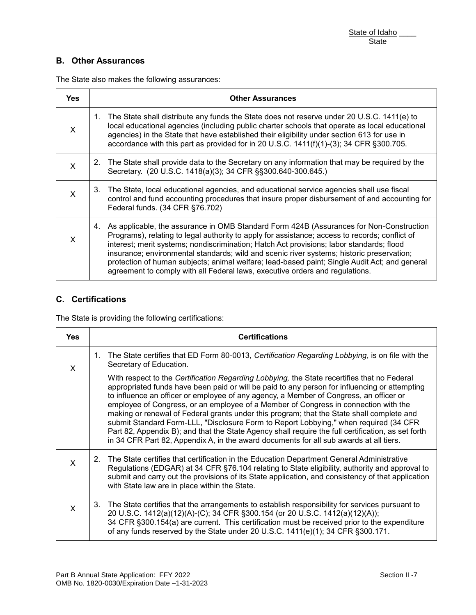## **B. Other Assurances**

The State also makes the following assurances:

| <b>Yes</b>                | <b>Other Assurances</b>                                                                                                                                                                                                                                                                                                                                                                                                                                                                                                                                                   |
|---------------------------|---------------------------------------------------------------------------------------------------------------------------------------------------------------------------------------------------------------------------------------------------------------------------------------------------------------------------------------------------------------------------------------------------------------------------------------------------------------------------------------------------------------------------------------------------------------------------|
| X                         | 1. The State shall distribute any funds the State does not reserve under 20 U.S.C. 1411(e) to<br>local educational agencies (including public charter schools that operate as local educational<br>agencies) in the State that have established their eligibility under section 613 for use in<br>accordance with this part as provided for in 20 U.S.C. 1411(f)(1)-(3); 34 CFR § 300.705.                                                                                                                                                                                |
| X                         | The State shall provide data to the Secretary on any information that may be required by the<br>2.<br>Secretary. (20 U.S.C. 1418(a)(3); 34 CFR §§300.640-300.645.)                                                                                                                                                                                                                                                                                                                                                                                                        |
| $\boldsymbol{\mathsf{X}}$ | 3. The State, local educational agencies, and educational service agencies shall use fiscal<br>control and fund accounting procedures that insure proper disbursement of and accounting for<br>Federal funds. (34 CFR §76.702)                                                                                                                                                                                                                                                                                                                                            |
| X                         | As applicable, the assurance in OMB Standard Form 424B (Assurances for Non-Construction<br>4.<br>Programs), relating to legal authority to apply for assistance; access to records; conflict of<br>interest; merit systems; nondiscrimination; Hatch Act provisions; labor standards; flood<br>insurance; environmental standards; wild and scenic river systems; historic preservation;<br>protection of human subjects; animal welfare; lead-based paint; Single Audit Act; and general<br>agreement to comply with all Federal laws, executive orders and regulations. |

### **C. Certifications**

The State is providing the following certifications:

| <b>Yes</b> | <b>Certifications</b>                                                                                                                                                                                                                                                                                                                                                                                                                                                                                                                                                                                                                                                                                                                                               |
|------------|---------------------------------------------------------------------------------------------------------------------------------------------------------------------------------------------------------------------------------------------------------------------------------------------------------------------------------------------------------------------------------------------------------------------------------------------------------------------------------------------------------------------------------------------------------------------------------------------------------------------------------------------------------------------------------------------------------------------------------------------------------------------|
| X          | The State certifies that ED Form 80-0013, Certification Regarding Lobbying, is on file with the<br>$1_{-}$<br>Secretary of Education.                                                                                                                                                                                                                                                                                                                                                                                                                                                                                                                                                                                                                               |
|            | With respect to the Certification Regarding Lobbying, the State recertifies that no Federal<br>appropriated funds have been paid or will be paid to any person for influencing or attempting<br>to influence an officer or employee of any agency, a Member of Congress, an officer or<br>employee of Congress, or an employee of a Member of Congress in connection with the<br>making or renewal of Federal grants under this program; that the State shall complete and<br>submit Standard Form-LLL, "Disclosure Form to Report Lobbying," when required (34 CFR<br>Part 82, Appendix B); and that the State Agency shall require the full certification, as set forth<br>in 34 CFR Part 82, Appendix A, in the award documents for all sub awards at all tiers. |
| X          | The State certifies that certification in the Education Department General Administrative<br>2.<br>Regulations (EDGAR) at 34 CFR §76.104 relating to State eligibility, authority and approval to<br>submit and carry out the provisions of its State application, and consistency of that application<br>with State law are in place within the State.                                                                                                                                                                                                                                                                                                                                                                                                             |
| X.         | The State certifies that the arrangements to establish responsibility for services pursuant to<br>3.<br>20 U.S.C. 1412(a)(12)(A)-(C); 34 CFR §300.154 (or 20 U.S.C. 1412(a)(12)(A));<br>34 CFR §300.154(a) are current. This certification must be received prior to the expenditure<br>of any funds reserved by the State under 20 U.S.C. 1411(e)(1); 34 CFR §300.171.                                                                                                                                                                                                                                                                                                                                                                                             |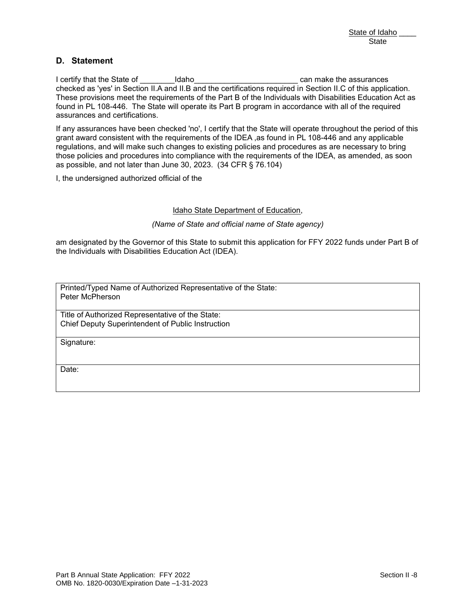#### **D. Statement**

 These provisions meet the requirements of the Part B of the Individuals with Disabilities Education Act as I certify that the State of The State of The Idaho Letter Can make the assurances checked as 'yes' in Section II.A and II.B and the certifications required in Section II.C of this application. found in PL 108-446. The State will operate its Part B program in accordance with all of the required assurances and certifications.

of the Part B of the Individuals with Disabilities Education<br>ate its Part B program in accordance with all of the require<br>y', I certify that the State will operate throughout the period<br>ents of the IDEA ,as found in PL 108 State of Idaho<br>
State of Idaho<br>
State of Island<br>
State of Island II.B and the certifications required in Section II.C of this application.<br>
Is in Section II.A and II.B and the certifications required in Section II.C of thi If any assurances have been checked 'no', I certify that the State will operate throughout the period of this grant award consistent with the requirements of the IDEA ,as found in PL 108-446 and any applicable regulations, and will make such changes to existing policies and procedures as are necessary to bring those policies and procedures into compliance with the requirements of the IDEA, as amended, as soon as possible, and not later than June 30, 2023. (34 CFR § 76.104)

I, the undersigned authorized official of the

#### Idaho State Department of Education,

 *(Name of State and official name of State agency)*

am designated by the Governor of this State to submit this application for FFY 2022 funds under Part B of the Individuals with Disabilities Education Act (IDEA).

 Printed/Typed Name of Authorized Representative of the State: Peter McPherson

Title of Authorized Representative of the State: Chief Deputy Superintendent of Public Instruction

Signature:

Date: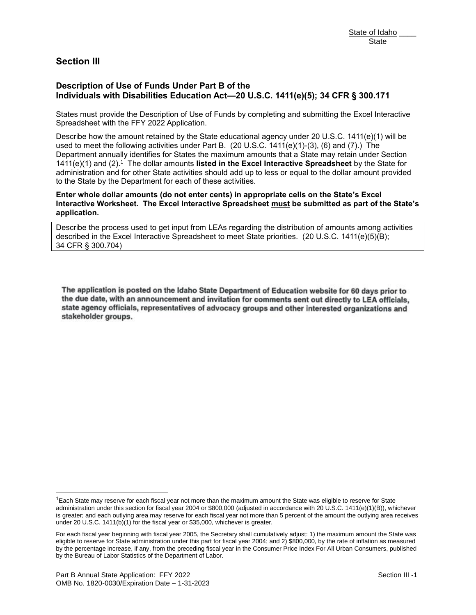# **Section III**

### **Description of Use of Funds Under Part B of the Individuals with Disabilities Education Act—20 U.S.C. 1411(e)(5); 34 CFR § 300.171**

**Description of Use of Funds Under Part B of the**<br>I**ndividuals with Disabilities Education Act—20 U.S.C. 1411(e)(5); 34 CFR § 300.171**<br>States must provide the Description of Use of Funds by completing and submitting the Ex States must provide the Description of Use of Funds by completing and submitting the Excel Interactive Spreadsheet with the FFY 2022 Application.

 used to meet the following activities under Part B. (20 U.S.C. 1411(e)(1)-(3), (6) and (7).) The Department annually identifies for States the maximum amounts that a State may retain under Section 1411(e)(1) and (2).1 The dollar amounts **listed in the Excel Interactive Spreadsheet** by the State for to the State by the Department for each of these activities. State of Idaho State of Idaho State of Idaho State of Idaho State of Idaho State of Idaho State of Idaho State of Idaho State of Idaho State of Idaho State of Idaho State of Idaho State of Idaho State of Idaho Interactive administration and for other State activities should add up to less or equal to the dollar amount provided

**Enter whole dollar amounts (do not enter cents) in appropriate cells on the State's Excel Interactive Worksheet. The Excel Interactive Spreadsheet must be submitted as part of the State's application.**

 Describe the process used to get input from LEAs regarding the distribution of amounts among activities described in the Excel Interactive Spreadsheet to meet State priorities. (20 U.S.C. 1411(e)(5)(B); 34 CFR § 300.704)

The application is posted on the Idaho State Department of Education website for 60 days prior to the due date, with an announcement and invitation for comments sent out directly to LEA officials, state agency officials, representatives of advocacy groups and other interested organizations and stakeholder groups.

l

 $1$ Each State may reserve for each fiscal year not more than the maximum amount the State was eligible to reserve for State administration under this section for fiscal year 2004 or \$800,000 (adjusted in accordance with 20 U.S.C. 1411(e)(1)(B)), whichever is greater; and each outlying area may reserve for each fiscal year not more than 5 percent of the amount the outlying area receives under 20 U.S.C. 1411(b)(1) for the fiscal year or \$35,000, whichever is greater.

 For each fiscal year beginning with fiscal year 2005, the Secretary shall cumulatively adjust: 1) the maximum amount the State was eligible to reserve for State administration under this part for fiscal year 2004; and 2) \$800,000, by the rate of inflation as measured by the percentage increase, if any, from the preceding fiscal year in the Consumer Price Index For All Urban Consumers, published by the Bureau of Labor Statistics of the Department of Labor.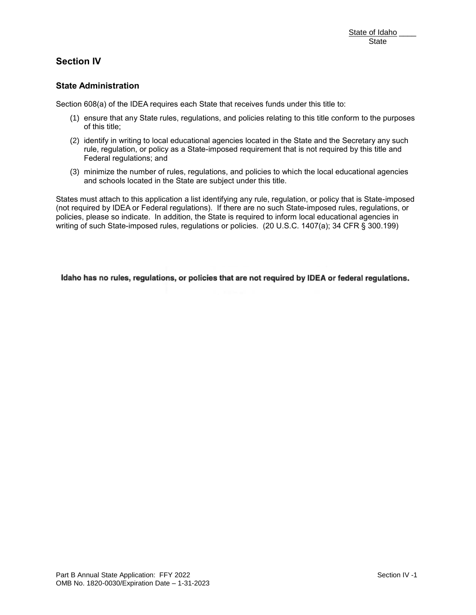# **Section IV**

### **State Administration**

Section 608(a) of the IDEA requires each State that receives funds under this title to:

- State of Idaho<br>State<br>State of Idaho<br>State<br>State<br>State<br>State<br>State<br>State<br>State<br>State<br>State rules, regulations, and policies relating to this title conform to the purposes<br>policy as a State-imposed requirement that is not re (1) ensure that any State rules, regulations, and policies relating to this title conform to the purposes of this title;
- (2) identify in writing to local educational agencies located in the State and the Secretary any such rule, regulation, or policy as a State-imposed requirement that is not required by this title and Federal regulations; and
- (3) minimize the number of rules, regulations, and policies to which the local educational agencies and schools located in the State are subject under this title.

States must attach to this application a list identifying any rule, regulation, or policy that is State-imposed (not required by IDEA or Federal regulations). If there are no such State-imposed rules, regulations, or policies, please so indicate. In addition, the State is required to inform local educational agencies in writing of such State-imposed rules, regulations or policies. (20 U.S.C. 1407(a); 34 CFR § 300.199)

Idaho has no rules, regulations, or policies that are not required by IDEA or federal regulations.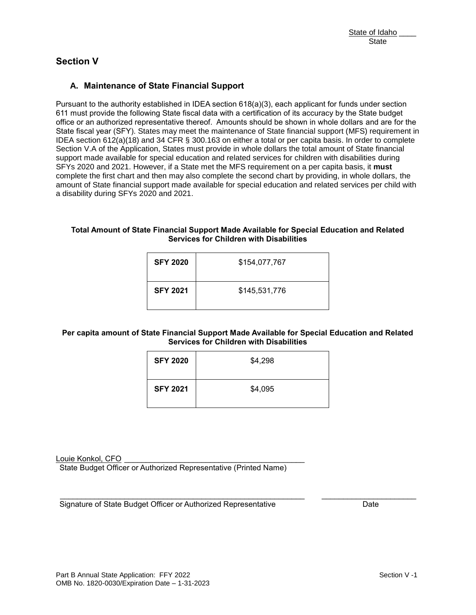# **Section V**

### **A. Maintenance of State Financial Support**

 Pursuant to the authority established in IDEA section 618(a)(3), each applicant for funds under section a disability during SFYs 2020 and 2021. intenance of State Financial Su<br>o the authority established in IDEA se<br>rovide the following State fiscal data<br>authorized representative thereof. P<br>year (SFY). States may meet the ma State Financial Support<br>
State financial Support<br>
stablished in IDEA section 618(a)(3), each applicant for funds under section<br>
and that the may meet the maintenance of State financial support<br>
meet the main can be establ 611 must provide the following State fiscal data with a certification of its accuracy by the State budget office or an authorized representative thereof. Amounts should be shown in whole dollars and are for the State fiscal year (SFY). States may meet the maintenance of State financial support (MFS) requirement in IDEA section 612(a)(18) and 34 CFR § 300.163 on either a total or per capita basis. In order to complete Section V.A of the Application, States must provide in whole dollars the total amount of State financial support made available for special education and related services for children with disabilities during SFYs 2020 and 2021. However, if a State met the MFS requirement on a per capita basis, it **must**  complete the first chart and then may also complete the second chart by providing, in whole dollars, the amount of State financial support made available for special education and related services per child with

#### **Total Amount of State Financial Support Made Available for Special Education and Related Services for Children with Disabilities**

| <b>SFY 2020</b> | \$154,077,767 |
|-----------------|---------------|
| <b>SFY 2021</b> | \$145,531,776 |

#### **Per capita amount of State Financial Support Made Available for Special Education and Related Services for Children with Disabilities**

| <b>SFY 2020</b> | \$4,298 |
|-----------------|---------|
| <b>SFY 2021</b> | \$4,095 |

Louie Konkol, CFO

State Budget Officer or Authorized Representative (Printed Name)

 Signature of State Budget Officer or Authorized Representative \_\_\_\_\_\_\_\_\_\_\_\_\_\_\_\_\_\_\_\_\_\_\_\_\_\_\_\_\_\_\_\_\_\_\_\_\_\_\_\_\_\_\_\_\_\_\_\_\_\_\_\_\_\_\_\_\_ \_\_\_\_\_\_\_\_\_\_\_\_\_\_\_\_\_\_\_\_\_\_ Date